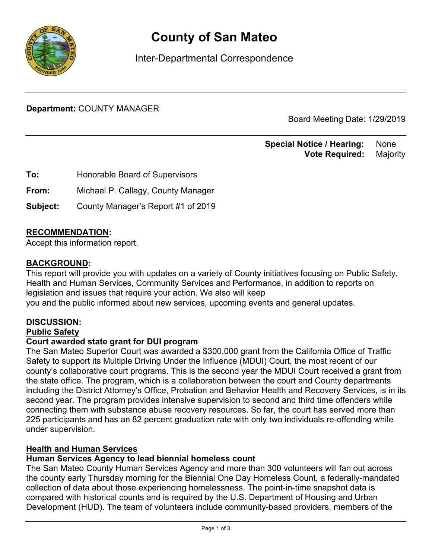

# **County of San Mateo**

Inter-Departmental Correspondence

**Department:** COUNTY MANAGER

Board Meeting Date: 1/29/2019

**Special Notice / Hearing: None Vote Required:** Majority

**To:** Honorable Board of Supervisors

**From:** Michael P. Callagy, County Manager

**Subject:** County Manager's Report #1 of 2019

#### RECOMMENDATION**:**

Accept this information report.

#### BACKGROUND**:**

This report will provide you with updates on a variety of County initiatives focusing on Public Safety, Health and Human Services, Community Services and Performance, in addition to reports on legislation and issues that require your action. We also will keep you and the public informed about new services, upcoming events and general updates.

#### **DISCUSSION:**

#### Public Safety

#### **Court awarded state grant for DUI program**

The San Mateo Superior Court was awarded a \$300,000 grant from the California Office of Traffic Safety to support its Multiple Driving Under the Influence (MDUI) Court, the most recent of our county's collaborative court programs. This is the second year the MDUI Court received a grant from the state office. The program, which is a collaboration between the court and County departments including the District Attorney's Office, Probation and Behavior Health and Recovery Services, is in its second year. The program provides intensive supervision to second and third time offenders while connecting them with substance abuse recovery resources. So far, the court has served more than 225 participants and has an 82 percent graduation rate with only two individuals re-offending while under supervision.

#### Health and Human Services

#### **Human Services Agency to lead biennial homeless count**

The San Mateo County Human Services Agency and more than 300 volunteers will fan out across the county early Thursday morning for the Biennial One Day Homeless Count, a federally-mandated collection of data about those experiencing homelessness. The point-in-time snapshot data is compared with historical counts and is required by the U.S. Department of Housing and Urban Development (HUD). The team of volunteers include community-based providers, members of the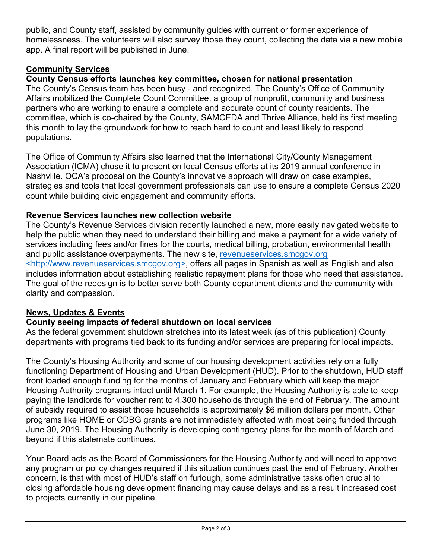public, and County staff, assisted by community guides with current or former experience of homelessness. The volunteers will also survey those they count, collecting the data via a new mobile app. A final report will be published in June.

# Community Services

# **County Census efforts launches key committee, chosen for national presentation**

The County's Census team has been busy - and recognized. The County's Office of Community Affairs mobilized the Complete Count Committee, a group of nonprofit, community and business partners who are working to ensure a complete and accurate count of county residents. The committee, which is co-chaired by the County, SAMCEDA and Thrive Alliance, held its first meeting this month to lay the groundwork for how to reach hard to count and least likely to respond populations.

The Office of Community Affairs also learned that the International City/County Management Association (ICMA) chose it to present on local Census efforts at its 2019 annual conference in Nashville. OCA's proposal on the County's innovative approach will draw on case examples, strategies and tools that local government professionals can use to ensure a complete Census 2020 count while building civic engagement and community efforts.

## **Revenue Services launches new collection website**

The County's Revenue Services division recently launched a new, more easily navigated website to help the public when they need to understand their billing and make a payment for a wide variety of services including fees and/or fines for the courts, medical billing, probation, environmental health and public assistance overpayments. The new site, revenueservices.smcgov.org <http://www.revenueservices.smcgov.org>, offers all pages in Spanish as well as English and also includes information about establishing realistic repayment plans for those who need that assistance. The goal of the redesign is to better serve both County department clients and the community with clarity and compassion.

## News, Updates & Events

## **County seeing impacts of federal shutdown on local services**

As the federal government shutdown stretches into its latest week (as of this publication) County departments with programs tied back to its funding and/or services are preparing for local impacts.

The County's Housing Authority and some of our housing development activities rely on a fully functioning Department of Housing and Urban Development (HUD). Prior to the shutdown, HUD staff front loaded enough funding for the months of January and February which will keep the major Housing Authority programs intact until March 1. For example, the Housing Authority is able to keep paying the landlords for voucher rent to 4,300 households through the end of February. The amount of subsidy required to assist those households is approximately \$6 million dollars per month. Other programs like HOME or CDBG grants are not immediately affected with most being funded through June 30, 2019. The Housing Authority is developing contingency plans for the month of March and beyond if this stalemate continues.

Your Board acts as the Board of Commissioners for the Housing Authority and will need to approve any program or policy changes required if this situation continues past the end of February. Another concern, is that with most of HUD's staff on furlough, some administrative tasks often crucial to closing affordable housing development financing may cause delays and as a result increased cost to projects currently in our pipeline.